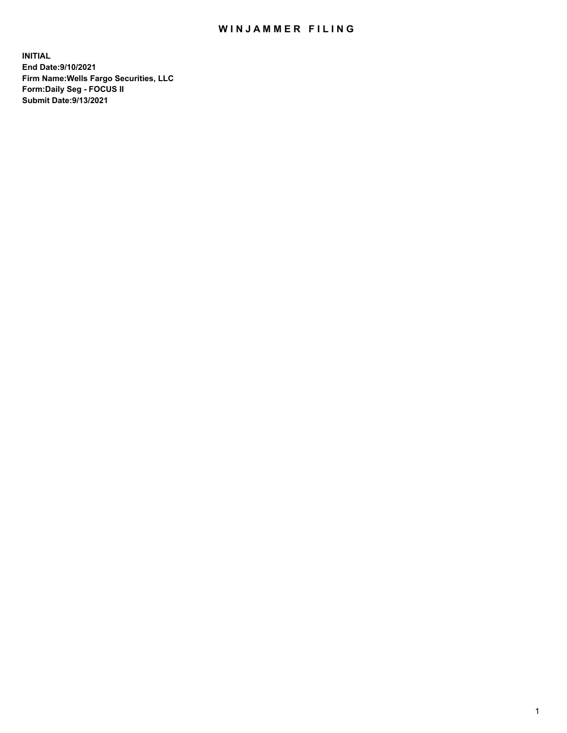## WIN JAMMER FILING

**INITIAL End Date:9/10/2021 Firm Name:Wells Fargo Securities, LLC Form:Daily Seg - FOCUS II Submit Date:9/13/2021**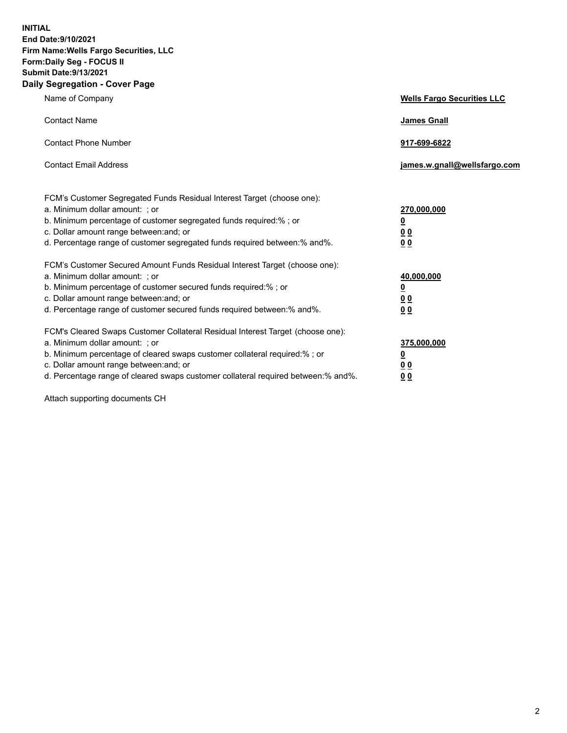**INITIAL End Date:9/10/2021 Firm Name:Wells Fargo Securities, LLC Form:Daily Seg - FOCUS II Submit Date:9/13/2021 Daily Segregation - Cover Page**

| Name of Company                                                                                                                                                                                                                                                                                                                | <b>Wells Fargo Securities LLC</b>                                          |
|--------------------------------------------------------------------------------------------------------------------------------------------------------------------------------------------------------------------------------------------------------------------------------------------------------------------------------|----------------------------------------------------------------------------|
| <b>Contact Name</b>                                                                                                                                                                                                                                                                                                            | <b>James Gnall</b>                                                         |
| <b>Contact Phone Number</b>                                                                                                                                                                                                                                                                                                    | 917-699-6822                                                               |
| <b>Contact Email Address</b>                                                                                                                                                                                                                                                                                                   | james.w.gnall@wellsfargo.com                                               |
| FCM's Customer Segregated Funds Residual Interest Target (choose one):<br>a. Minimum dollar amount: ; or<br>b. Minimum percentage of customer segregated funds required:% ; or<br>c. Dollar amount range between: and; or<br>d. Percentage range of customer segregated funds required between:% and%.                         | 270,000,000<br>$\underline{\mathbf{0}}$<br>00<br>00                        |
| FCM's Customer Secured Amount Funds Residual Interest Target (choose one):<br>a. Minimum dollar amount: ; or<br>b. Minimum percentage of customer secured funds required:%; or<br>c. Dollar amount range between: and; or<br>d. Percentage range of customer secured funds required between: % and %.                          | 40,000,000<br>$\underline{\mathbf{0}}$<br>0 <sub>0</sub><br>0 <sub>0</sub> |
| FCM's Cleared Swaps Customer Collateral Residual Interest Target (choose one):<br>a. Minimum dollar amount: ; or<br>b. Minimum percentage of cleared swaps customer collateral required:% ; or<br>c. Dollar amount range between: and; or<br>d. Percentage range of cleared swaps customer collateral required between:% and%. | 375,000,000<br><u>0</u><br>00<br><u>00</u>                                 |

Attach supporting documents CH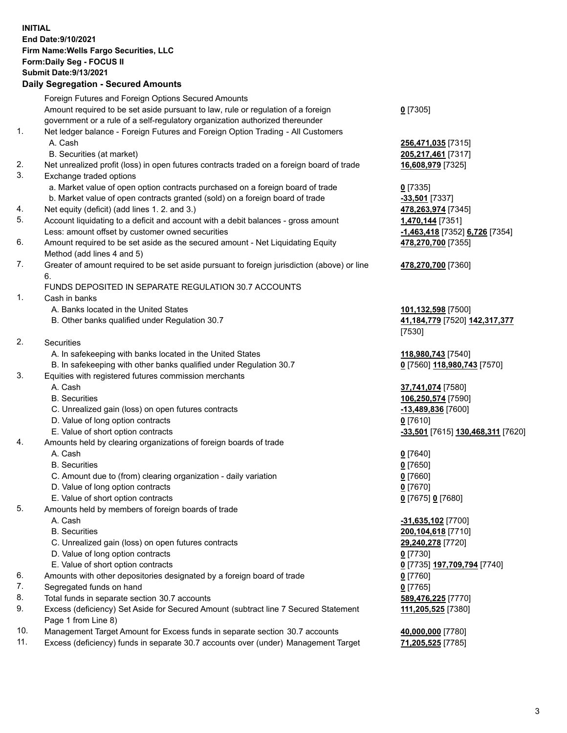**INITIAL End Date:9/10/2021 Firm Name:Wells Fargo Securities, LLC Form:Daily Seg - FOCUS II Submit Date:9/13/2021**

## **Daily Segregation - Secured Amounts**

|    | Foreign Futures and Foreign Options Secured Amounts                                         |                                   |
|----|---------------------------------------------------------------------------------------------|-----------------------------------|
|    | Amount required to be set aside pursuant to law, rule or regulation of a foreign            | $0$ [7305]                        |
|    | government or a rule of a self-regulatory organization authorized thereunder                |                                   |
| 1. | Net ledger balance - Foreign Futures and Foreign Option Trading - All Customers             |                                   |
|    | A. Cash                                                                                     | 256,471,035 [7315]                |
|    | B. Securities (at market)                                                                   | 205,217,461 [7317]                |
| 2. | Net unrealized profit (loss) in open futures contracts traded on a foreign board of trade   | 16,608,979 [7325]                 |
| 3. | Exchange traded options                                                                     |                                   |
|    | a. Market value of open option contracts purchased on a foreign board of trade              | $0$ [7335]                        |
|    | b. Market value of open contracts granted (sold) on a foreign board of trade                | -33,501 [7337]                    |
| 4. | Net equity (deficit) (add lines 1.2. and 3.)                                                | 478,263,974 [7345]                |
| 5. | Account liquidating to a deficit and account with a debit balances - gross amount           | 1,470,144 [7351]                  |
|    | Less: amount offset by customer owned securities                                            | -1,463,418 [7352] 6,726 [7354]    |
| 6. | Amount required to be set aside as the secured amount - Net Liquidating Equity              | 478,270,700 [7355]                |
|    | Method (add lines 4 and 5)                                                                  |                                   |
| 7. | Greater of amount required to be set aside pursuant to foreign jurisdiction (above) or line | 478,270,700 [7360]                |
|    | 6.                                                                                          |                                   |
|    | FUNDS DEPOSITED IN SEPARATE REGULATION 30.7 ACCOUNTS                                        |                                   |
| 1. | Cash in banks                                                                               |                                   |
|    | A. Banks located in the United States                                                       | 101,132,598 [7500]                |
|    | B. Other banks qualified under Regulation 30.7                                              | 41, 184, 779 [7520] 142, 317, 377 |
|    |                                                                                             | [7530]                            |
| 2. | Securities                                                                                  |                                   |
|    | A. In safekeeping with banks located in the United States                                   | 118,980,743 [7540]                |
|    | B. In safekeeping with other banks qualified under Regulation 30.7                          | 0 [7560] 118,980,743 [7570]       |
| 3. | Equities with registered futures commission merchants                                       |                                   |
|    | A. Cash                                                                                     | 37,741,074 [7580]                 |
|    | <b>B.</b> Securities                                                                        | 106,250,574 [7590]                |
|    | C. Unrealized gain (loss) on open futures contracts                                         | -13,489,836 [7600]                |
|    | D. Value of long option contracts                                                           | $0$ [7610]                        |
|    | E. Value of short option contracts                                                          | -33,501 [7615] 130,468,311 [7620] |
| 4. | Amounts held by clearing organizations of foreign boards of trade                           |                                   |
|    | A. Cash                                                                                     | $0$ [7640]                        |
|    | <b>B.</b> Securities                                                                        | $0$ [7650]                        |
|    | C. Amount due to (from) clearing organization - daily variation                             | $0$ [7660]                        |
|    | D. Value of long option contracts                                                           | $0$ [7670]                        |
|    | E. Value of short option contracts                                                          | 0 [7675] 0 [7680]                 |
| 5. | Amounts held by members of foreign boards of trade                                          |                                   |
|    | A. Cash                                                                                     | $-31,635,102$ [7700]              |
|    | <b>B.</b> Securities                                                                        | 200,104,618 [7710]                |
|    | C. Unrealized gain (loss) on open futures contracts                                         | 29,240,278 [7720]                 |
|    | D. Value of long option contracts                                                           | $0$ [7730]                        |
|    | E. Value of short option contracts                                                          | 0 [7735] 197,709,794 [7740]       |
| 6. | Amounts with other depositories designated by a foreign board of trade                      | $0$ [7760]                        |
| 7. | Segregated funds on hand                                                                    | $0$ [7765]                        |
| 8. | Total funds in separate section 30.7 accounts                                               | 589,476,225 [7770]                |
| 9. | Excess (deficiency) Set Aside for Secured Amount (subtract line 7 Secured Statement         | 111,205,525 [7380]                |
|    | Page 1 from Line 8)                                                                         |                                   |

- 10. Management Target Amount for Excess funds in separate section 30.7 accounts **40,000,000** [7780]
- 11. Excess (deficiency) funds in separate 30.7 accounts over (under) Management Target **71,205,525** [7785]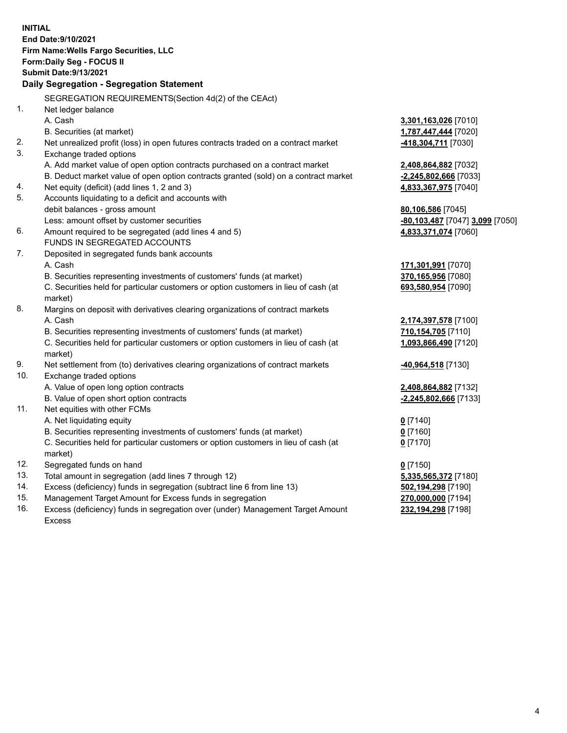**INITIAL End Date:9/10/2021 Firm Name:Wells Fargo Securities, LLC Form:Daily Seg - FOCUS II Submit Date:9/13/2021 Daily Segregation - Segregation Statement** SEGREGATION REQUIREMENTS(Section 4d(2) of the CEAct) 1. Net ledger balance A. Cash **3,301,163,026** [7010] B. Securities (at market) **1,787,447,444** [7020] 2. Net unrealized profit (loss) in open futures contracts traded on a contract market **-418,304,711** [7030] 3. Exchange traded options A. Add market value of open option contracts purchased on a contract market **2,408,864,882** [7032] B. Deduct market value of open option contracts granted (sold) on a contract market **-2,245,802,666** [7033] 4. Net equity (deficit) (add lines 1, 2 and 3) **4,833,367,975** [7040] 5. Accounts liquidating to a deficit and accounts with debit balances - gross amount **80,106,586** [7045] Less: amount offset by customer securities **-80,103,487** [7047] **3,099** [7050] 6. Amount required to be segregated (add lines 4 and 5) **4,833,371,074** [7060] FUNDS IN SEGREGATED ACCOUNTS 7. Deposited in segregated funds bank accounts A. Cash **171,301,991** [7070] B. Securities representing investments of customers' funds (at market) **370,165,956** [7080] C. Securities held for particular customers or option customers in lieu of cash (at market) **693,580,954** [7090] 8. Margins on deposit with derivatives clearing organizations of contract markets A. Cash **2,174,397,578** [7100] B. Securities representing investments of customers' funds (at market) **710,154,705** [7110] C. Securities held for particular customers or option customers in lieu of cash (at market) **1,093,866,490** [7120] 9. Net settlement from (to) derivatives clearing organizations of contract markets **-40,964,518** [7130] 10. Exchange traded options A. Value of open long option contracts **2,408,864,882** [7132] B. Value of open short option contracts **-2,245,802,666** [7133] 11. Net equities with other FCMs A. Net liquidating equity **0** [7140] B. Securities representing investments of customers' funds (at market) **0** [7160] C. Securities held for particular customers or option customers in lieu of cash (at market) **0** [7170] 12. Segregated funds on hand **0** [7150] 13. Total amount in segregation (add lines 7 through 12) **5,335,565,372** [7180] 14. Excess (deficiency) funds in segregation (subtract line 6 from line 13) **502,194,298** [7190] 15. Management Target Amount for Excess funds in segregation **270,000,000** [7194]

16. Excess (deficiency) funds in segregation over (under) Management Target Amount Excess

**232,194,298** [7198]